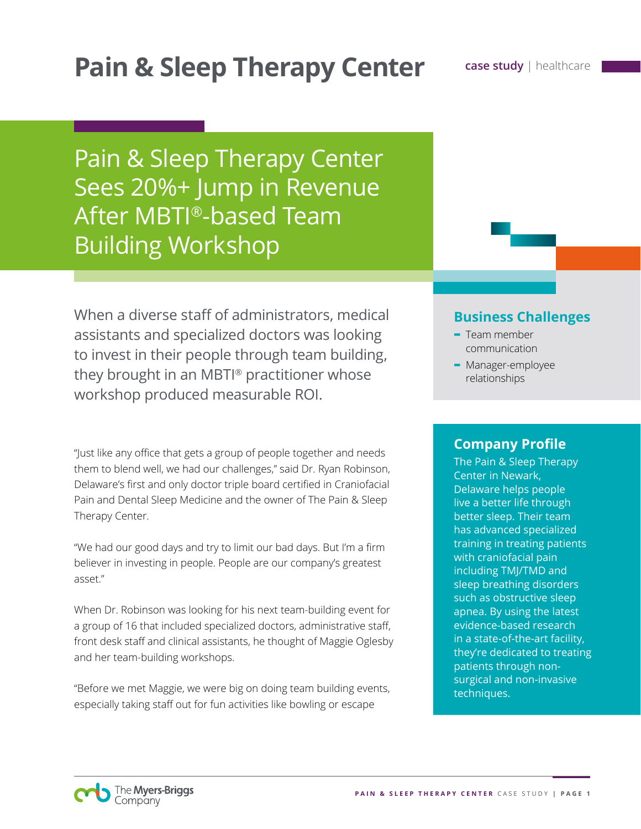# **Pain & Sleep Therapy Center Case study | healthcare**

Pain & Sleep Therapy Center Sees 20%+ Jump in Revenue After MBTI®-based Team Building Workshop

When a diverse staff of administrators, medical assistants and specialized doctors was looking to invest in their people through team building, they brought in an MBTI® practitioner whose workshop produced measurable ROI.

"Just like any office that gets a group of people together and needs them to blend well, we had our challenges," said Dr. Ryan Robinson, Delaware's first and only doctor triple board certified in Craniofacial Pain and Dental Sleep Medicine and the owner of The Pain & Sleep Therapy Center.

"We had our good days and try to limit our bad days. But I'm a firm believer in investing in people. People are our company's greatest asset."

When Dr. Robinson was looking for his next team-building event for a group of 16 that included specialized doctors, administrative staff, front desk staff and clinical assistants, he thought of Maggie Oglesby and her team-building workshops.

"Before we met Maggie, we were big on doing team building events, especially taking staff out for fun activities like bowling or escape

#### **Business Challenges**

- **-** Team member communication
- **-** Manager-employee relationships

## **Company Profile**

The Pain & Sleep Therapy Center in Newark, Delaware helps people live a better life through better sleep. Their team has advanced specialized training in treating patients with craniofacial pain including TMJ/TMD and sleep breathing disorders such as obstructive sleep apnea. By using the latest evidence-based research in a state-of-the-art facility, they're dedicated to treating patients through nonsurgical and non-invasive techniques.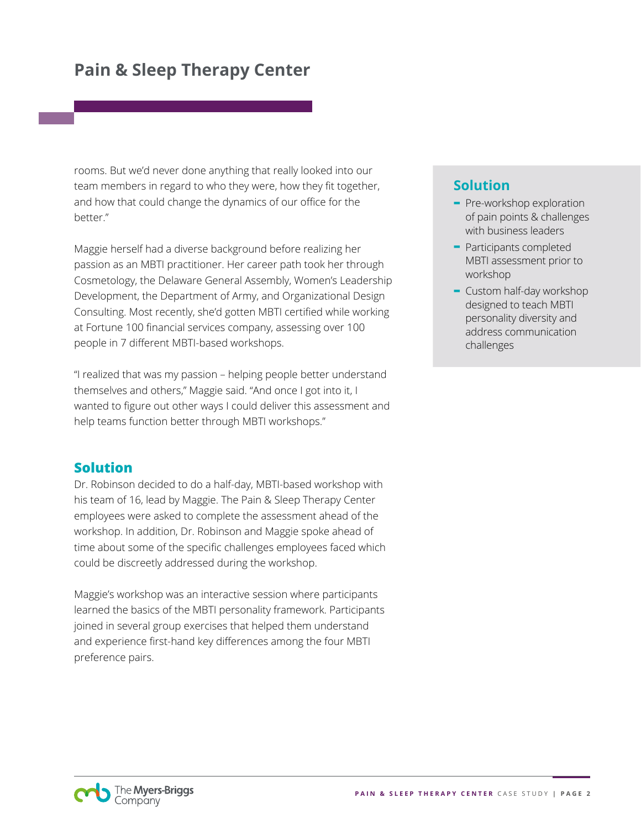rooms. But we'd never done anything that really looked into our team members in regard to who they were, how they fit together, and how that could change the dynamics of our office for the better."

Maggie herself had a diverse background before realizing her passion as an MBTI practitioner. Her career path took her through Cosmetology, the Delaware General Assembly, Women's Leadership Development, the Department of Army, and Organizational Design Consulting. Most recently, she'd gotten MBTI certified while working at Fortune 100 financial services company, assessing over 100 people in 7 different MBTI-based workshops.

"I realized that was my passion – helping people better understand themselves and others," Maggie said. "And once I got into it, I wanted to figure out other ways I could deliver this assessment and help teams function better through MBTI workshops."

## **Solution**

Dr. Robinson decided to do a half-day, MBTI-based workshop with his team of 16, lead by Maggie. The Pain & Sleep Therapy Center employees were asked to complete the assessment ahead of the workshop. In addition, Dr. Robinson and Maggie spoke ahead of time about some of the specific challenges employees faced which could be discreetly addressed during the workshop.

Maggie's workshop was an interactive session where participants learned the basics of the MBTI personality framework. Participants joined in several group exercises that helped them understand and experience first-hand key differences among the four MBTI preference pairs.

# **Solution**

- **-** Pre-workshop exploration of pain points & challenges with business leaders
- **-** Participants completed MBTI assessment prior to workshop
- **-** Custom half-day workshop designed to teach MBTI personality diversity and address communication challenges

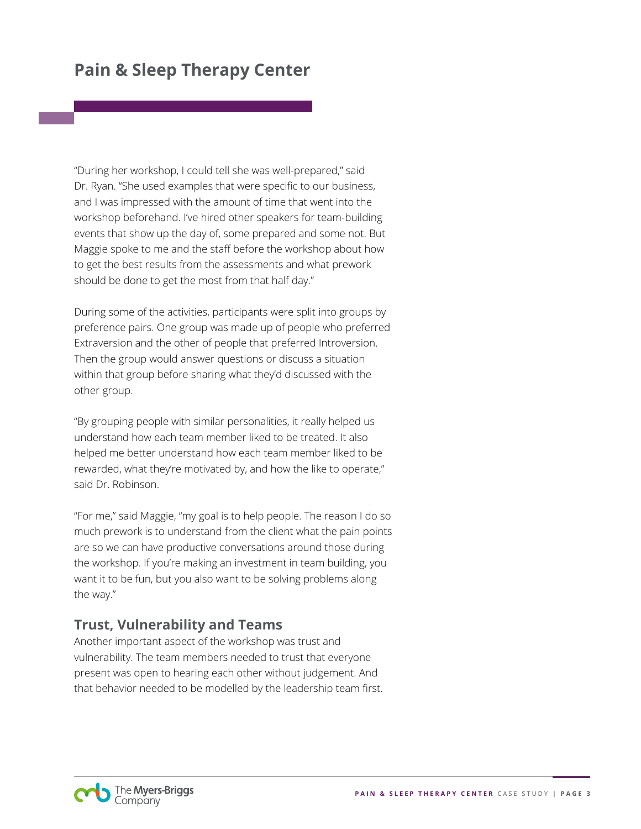"During her workshop, I could tell she was well-prepared," said Dr. Ryan. "She used examples that were specific to our business, and I was impressed with the amount of time that went into the workshop beforehand. I've hired other speakers for team-building events that show up the day of, some prepared and some not. But Maggie spoke to me and the staff before the workshop about how to get the best results from the assessments and what prework should be done to get the most from that half day."

During some of the activities, participants were split into groups by preference pairs. One group was made up of people who preferred Extraversion and the other of people that preferred Introversion. Then the group would answer questions or discuss a situation within that group before sharing what they'd discussed with the other group.

"By grouping people with similar personalities, it really helped us understand how each team member liked to be treated. It also helped me better understand how each team member liked to be rewarded, what they're motivated by, and how the like to operate," said Dr. Robinson.

"For me," said Maggie, "my goal is to help people. The reason I do so much prework is to understand from the client what the pain points are so we can have productive conversations around those during the workshop. If you're making an investment in team building, you want it to be fun, but you also want to be solving problems along the way."

## **Trust, Vulnerability and Teams**

Another important aspect of the workshop was trust and vulnerability. The team members needed to trust that everyone present was open to hearing each other without judgement. And that behavior needed to be modelled by the leadership team first.

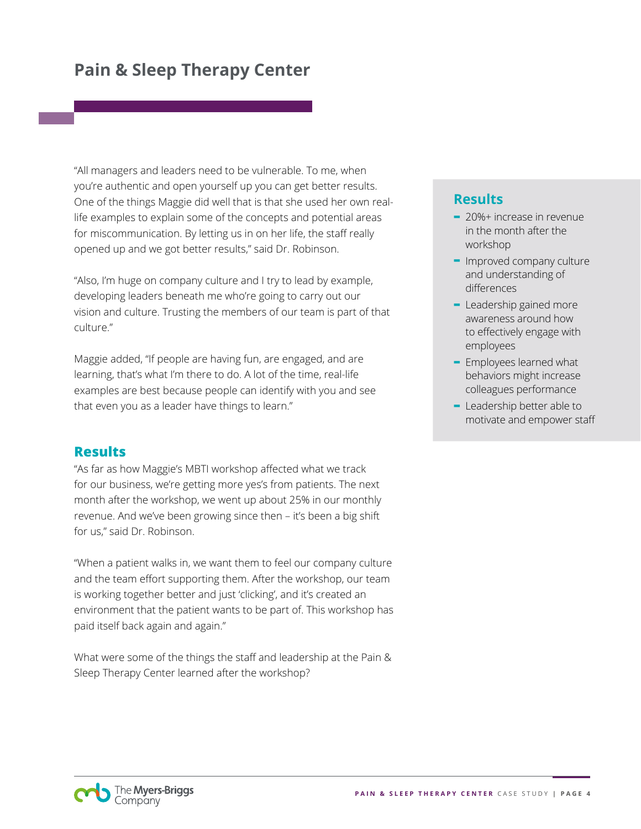"All managers and leaders need to be vulnerable. To me, when you're authentic and open yourself up you can get better results. One of the things Maggie did well that is that she used her own reallife examples to explain some of the concepts and potential areas for miscommunication. By letting us in on her life, the staff really opened up and we got better results," said Dr. Robinson.

"Also, I'm huge on company culture and I try to lead by example, developing leaders beneath me who're going to carry out our vision and culture. Trusting the members of our team is part of that culture."

Maggie added, "If people are having fun, are engaged, and are learning, that's what I'm there to do. A lot of the time, real-life examples are best because people can identify with you and see that even you as a leader have things to learn."

#### **Results**

"As far as how Maggie's MBTI workshop affected what we track for our business, we're getting more yes's from patients. The next month after the workshop, we went up about 25% in our monthly revenue. And we've been growing since then – it's been a big shift for us," said Dr. Robinson.

"When a patient walks in, we want them to feel our company culture and the team effort supporting them. After the workshop, our team is working together better and just 'clicking', and it's created an environment that the patient wants to be part of. This workshop has paid itself back again and again."

What were some of the things the staff and leadership at the Pain & Sleep Therapy Center learned after the workshop?

# **Results**

- **-** 20%+ increase in revenue in the month after the workshop
- **-** Improved company culture and understanding of differences
- **-** Leadership gained more awareness around how to effectively engage with employees
- **-** Employees learned what behaviors might increase colleagues performance
- **-** Leadership better able to motivate and empower staff

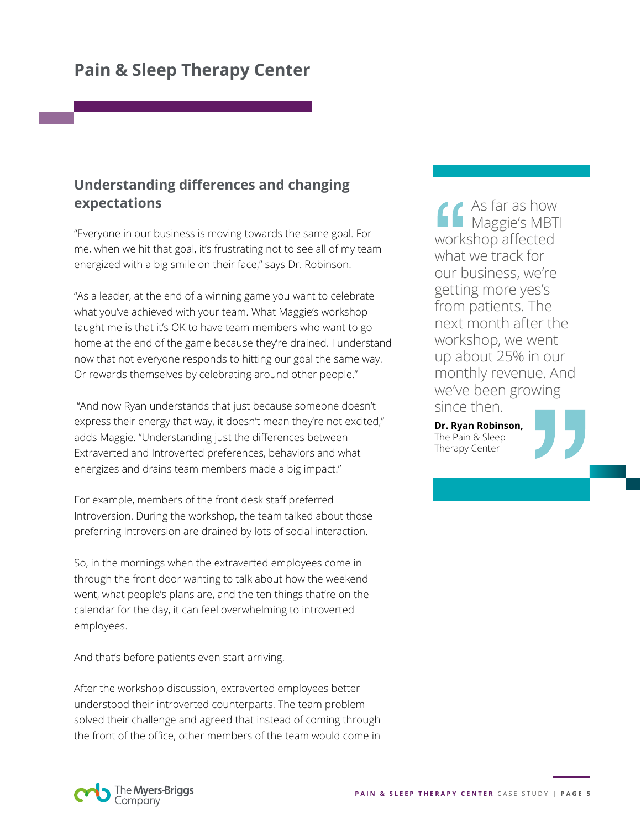# **Understanding differences and changing expectations**

"Everyone in our business is moving towards the same goal. For me, when we hit that goal, it's frustrating not to see all of my team energized with a big smile on their face," says Dr. Robinson.

"As a leader, at the end of a winning game you want to celebrate what you've achieved with your team. What Maggie's workshop taught me is that it's OK to have team members who want to go home at the end of the game because they're drained. I understand now that not everyone responds to hitting our goal the same way. Or rewards themselves by celebrating around other people."

 "And now Ryan understands that just because someone doesn't express their energy that way, it doesn't mean they're not excited," adds Maggie. "Understanding just the differences between Extraverted and Introverted preferences, behaviors and what energizes and drains team members made a big impact."

For example, members of the front desk staff preferred Introversion. During the workshop, the team talked about those preferring Introversion are drained by lots of social interaction.

So, in the mornings when the extraverted employees come in through the front door wanting to talk about how the weekend went, what people's plans are, and the ten things that're on the calendar for the day, it can feel overwhelming to introverted employees.

And that's before patients even start arriving.

After the workshop discussion, extraverted employees better understood their introverted counterparts. The team problem solved their challenge and agreed that instead of coming through the front of the office, other members of the team would come in

As far as how Maggie's MBTI workshop affected what we track for our business, we're getting more yes's from patients. The next month after the workshop, we went up about 25% in our monthly revenue. And we've been growing since then.

**Dr. Ryan Robinson,**  The Pain & Sleep Therapy Center

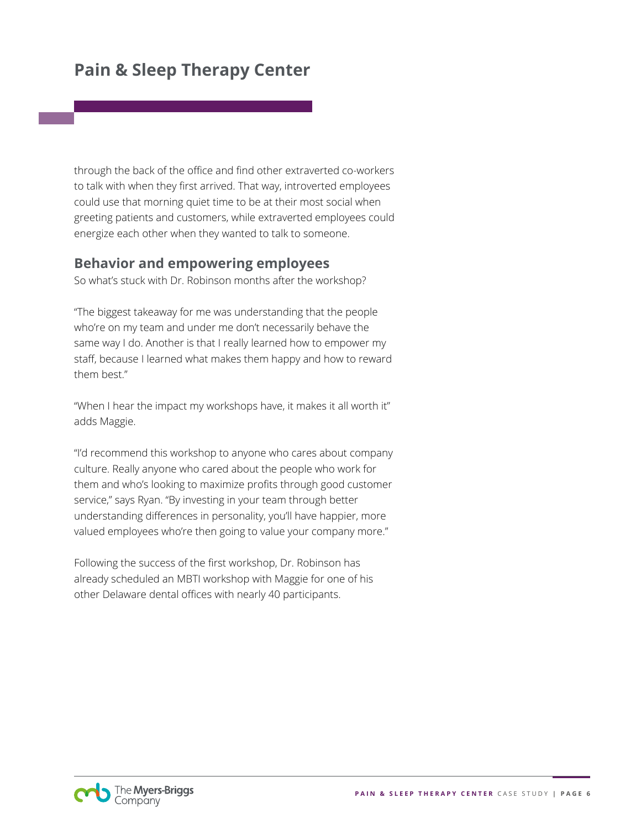through the back of the office and find other extraverted co-workers to talk with when they first arrived. That way, introverted employees could use that morning quiet time to be at their most social when greeting patients and customers, while extraverted employees could energize each other when they wanted to talk to someone.

## **Behavior and empowering employees**

So what's stuck with Dr. Robinson months after the workshop?

"The biggest takeaway for me was understanding that the people who're on my team and under me don't necessarily behave the same way I do. Another is that I really learned how to empower my staff, because I learned what makes them happy and how to reward them best."

"When I hear the impact my workshops have, it makes it all worth it" adds Maggie.

"I'd recommend this workshop to anyone who cares about company culture. Really anyone who cared about the people who work for them and who's looking to maximize profits through good customer service," says Ryan. "By investing in your team through better understanding differences in personality, you'll have happier, more valued employees who're then going to value your company more."

Following the success of the first workshop, Dr. Robinson has already scheduled an MBTI workshop with Maggie for one of his other Delaware dental offices with nearly 40 participants.